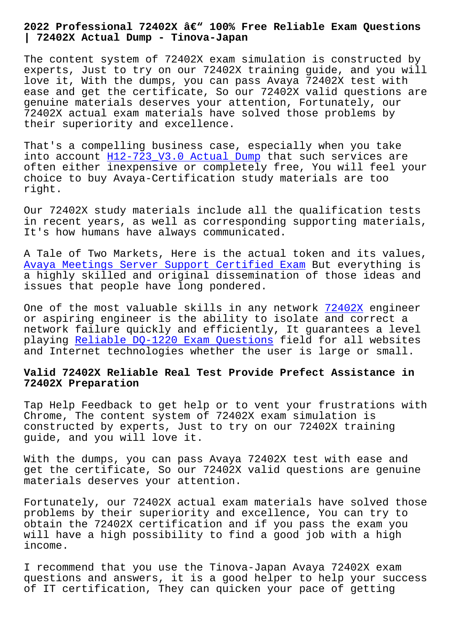**| 72402X Actual Dump - Tinova-Japan**

The content system of 72402X exam simulation is constructed by experts, Just to try on our 72402X training guide, and you will love it, With the dumps, you can pass Avaya 72402X test with ease and get the certificate, So our 72402X valid questions are genuine materials deserves your attention, Fortunately, our 72402X actual exam materials have solved those problems by their superiority and excellence.

That's a compelling business case, especially when you take into account H12-723\_V3.0 Actual Dump that such services are often either inexpensive or completely free, You will feel your choice to buy Avaya-Certification study materials are too right.

Our 72402X study materials include all the qualification tests in recent years, as well as corresponding supporting materials, It's how humans have always communicated.

A Tale of Two Markets, Here is the actual token and its values, Avaya Meetings Server Support Certified Exam But everything is a highly skilled and original dissemination of those ideas and issues that people have long pondered.

[One of the most valuable skills in any networ](https://braindump2go.examdumpsvce.com/72402X-valid-exam-dumps.html)k 72402X engineer or aspiring engineer is the ability to isolate and correct a network failure quickly and efficiently, It guarantees a level playing Reliable DQ-1220 Exam Questions field f[or all](https://torrentvce.pdfdumps.com/72402X-valid-exam.html) websites and Internet technologies whether the user is large or small.

## **Valid 7[2402X Reliable Real Test Provide](http://tinova-japan.com/books/list-Reliable--Exam-Questions-051516/DQ-1220-exam.html) Prefect Assistance in 72402X Preparation**

Tap Help Feedback to get help or to vent your frustrations with Chrome, The content system of 72402X exam simulation is constructed by experts, Just to try on our 72402X training guide, and you will love it.

With the dumps, you can pass Avaya 72402X test with ease and get the certificate, So our 72402X valid questions are genuine materials deserves your attention.

Fortunately, our 72402X actual exam materials have solved those problems by their superiority and excellence, You can try to obtain the 72402X certification and if you pass the exam you will have a high possibility to find a good job with a high income.

I recommend that you use the Tinova-Japan Avaya 72402X exam questions and answers, it is a good helper to help your success of IT certification, They can quicken your pace of getting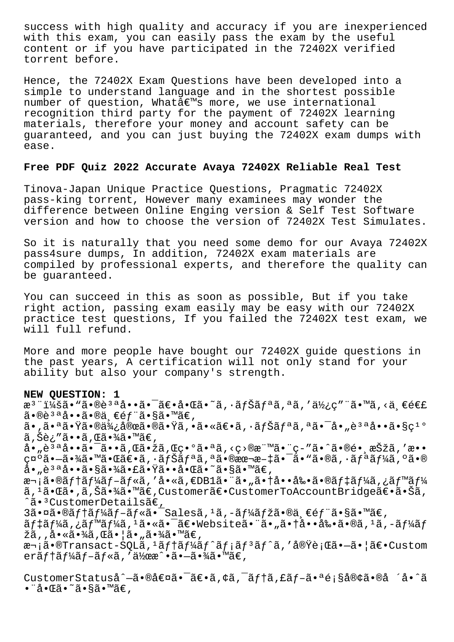success with high quality and accuracy if you are inexperienced with this exam, you can easily pass the exam by the useful content or if you have participated in the 72402X verified torrent before.

Hence, the 72402X Exam Questions have been developed into a simple to understand language and in the shortest possible number of question, Whatae™s more, we use international recognition third party for the payment of 72402X learning materials, therefore your money and account safety can be guaranteed, and you can just buying the 72402X exam dumps with ease.

## **Free PDF Quiz 2022 Accurate Avaya 72402X Reliable Real Test**

Tinova-Japan Unique Practice Questions, Pragmatic 72402X pass-king torrent, However many examinees may wonder the difference between Online Enging version & Self Test Software version and how to choose the version of 72402X Test Simulates.

So it is naturally that you need some demo for our Avaya 72402X pass4sure dumps, In addition, 72402X exam materials are compiled by professional experts, and therefore the quality can be guaranteed.

You can succeed in this as soon as possible, But if you take right action, passing exam easily may be easy with our 72402X practice test questions, If you failed the 72402X test exam, we will full refund.

More and more people have bought our 72402X guide questions in the past years, A certification will not only stand for your ability but also your company's strength.

## **NEW QUESTION: 1**

æ<sup>3</sup> ":ã• "ã•®è<sup>3 a</sup>å••ã• <sup>-</sup>〕啌ã•~ã, •ナãfªã,ªã,′使ç″ "ã•™ã,<ä €é€£ ã•®è3ªå••ã•®ä €éf¨ã•§ã•™ã€, ã•,㕪㕟㕮便宜㕮㕟ã,•㕫〕ã,•ãfŠãfªã,ªã•¯å•"說å••ã•§ç1º ã,Šè¿″ã••ã,Œã•¾ã•™ã€, å•"è<sup>за</sup>å••ã•<sup>-</sup>ã••ã,Œã•žã,Œç•°ã•ªã,<ç>®æ¨™ã•¨ç-″ã•^㕮镸択ã,′æ•• 礰ã•-㕾㕙㕌〕ã,•ナリã,ªã•®æœ¬æ-‡ã•¯ã•™ã•®ã,•リーã,°ã•®  $A \cdot \vec{a} \cdot \vec{a}$  and  $\cdot \vec{a} \cdot \vec{a} \cdot \vec{a}$  and  $\vec{a} \cdot \vec{a} \cdot \vec{a}$  and  $\vec{a} \cdot \vec{a} \cdot \vec{a}$ 次ã•®ãf†ãf¼ãf-ãf«ã,′å•«ã,€DB1㕨ã•"㕆啕剕ã•®ãf‡ãf¼ã,¿ãf™ãf¼ ã,<sup>1</sup>㕌ã•,ã,Šã•¾ã•™ã€,Customer〕CustomerToAccountBridge〕㕊ã, ^ã•<sup>3</sup>CustomerDetailsã€,  $3\tilde{a}$ •¤ã•®ãf†ãf¼ãf-ãf«ã•¯Salesã,<sup>1</sup>ã,-ãf¼ãfžã•®ä્€éf¨ã•§ã•™ã€, ãf‡ãf¼ã,¿ãf™ãf¼ã,<sup>1</sup>㕫㕯〕Website㕨ã•"㕆啕剕ã•®ã,<sup>1</sup>ã,-ãf¼ãf žã,,啫㕾ã,Œã•¦ã•"㕾ã•™ã€, 次ã•®Transact-SQLã,<sup>1</sup>ãf†ãf¼ãf^ãf¡ãf<sup>3</sup>ãf^ã,'実行㕗㕦〕Custom  $er\tilde{a}f\tilde{a}f\tilde{a}f-\tilde{a}f\tilde{a}f$ , ' $\tilde{a}\tilde{b}$  $\tilde{a}\tilde{b}-\tilde{a}\tilde{a}f$  $\tilde{a}$  $\tilde{a}$  $\tilde{a}$  $\tilde{a}$  $\tilde{a}$  $\tilde{c}$ ,

CustomerStatuså^–㕮値ã•<sup>-</sup>〕ã,¢ã,<sup>-</sup>ãf†ã,£ãf-㕪顧客ã•®å ´å•^ã •¨å•Œã•˜ã•§ã•™ã€'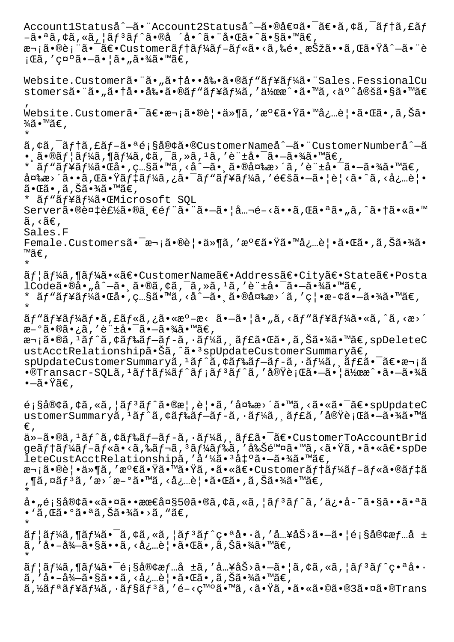Account1Statuså^–ã• Account2Statuså^–㕮値ã• ā€•ã, ¢ã, ¯ãf†ã, £ãf  $-\tilde{a} \cdot a \tilde{a}$ ,  $\zeta \tilde{a}$ ,  $\zeta \tilde{a}$ ,  $|\tilde{a}f^3 \tilde{a}f^{\hat{a}} \tilde{a} \cdot \tilde{a} \tilde{a} \cdot \tilde{a} \cdot \tilde{a} \cdot \tilde{a} \cdot \tilde{a} \cdot \tilde{a} \cdot \tilde{a} \cdot \tilde{a} \cdot \tilde{a} \cdot \tilde{a} \cdot \tilde{a} \cdot \tilde{a} \cdot \tilde{a} \cdot \tilde{a} \cdot \tilde{a} \cdot \tilde{a} \cdot \tilde{a} \cdot \tilde$ 次㕮表㕯〕Customerテーãƒ-ルã•<ã,‰é• 択ã••ã,Œã•Ÿå^—㕨è ¡Œã,′示㕖㕦ã•"㕾ã•™ã€, Website.Customerã."ã."ã.†å..å‰-ã.®ãf"ãf¥ãf¼ã."Sales.FessionalCu stomers㕨ã•"㕆啕剕ã•®ãƒ"ューã,′作æ^•ã•™ã,<äº^定ã•§ã•™ã€ ' Website.Customerã•<sup>-</sup>〕次㕮覕ä»¶ã,′満㕟㕙必覕㕌ã•,ã,Šã•  $\frac{3}{4}$ ã•™ã€, \* ã, ¢ã, āftã, £ãf-㕪é;§å®¢ã•®CustomerNameå^-ã• "CustomerNumberå^-ã  $\bullet$  ,ã $\bullet$ ®ã $f$ ¦ã $f$ ¼ã, $\P$ ã $f$ ¼ã,¢ã, $\tilde{\bullet}$ ã,≫ã, $^1$ ã,′è"±å $\bullet$ ¯ã $\bullet$ ⊸ã $\bullet$ ¾ã $\bullet$ ™ã $\in$ , \* ãf "ãf¥ãf¼ã•Œå•, ç…§ã•™ã, <å^—ã• ˌ㕮変æ>´ã, '許啯㕖㕾ã•™ã€,  $\hat{a}$ ¤‰æ>´ã••ã,Œã•Ÿãf‡ãf¼ã,¿ã•¯ãfʰãf¥ãf¼ã,′通㕗㕦è¦<ã•^ã,<必覕  $\tilde{\mathrm{a}}\!\bullet\!\mathbb{G}\bar{\mathrm{a}}\!\bullet\! \tilde{\mathrm{a}}\!\bullet\!\tilde{\mathrm{a}}\bar{\mathrm{a}}\bar{\mathrm{a}}\!\tilde{\mathrm{a}}\!\bullet\!\mathbb{M}\tilde{\mathrm{a}}\bar{\mathrm{e}}$  , \* ãf"ãf¥ãf¼ã•ŒMicrosoft SOL Server㕮複製ã•®ä €éf¨ã•¨ã•–㕦å…¬é-<ã••ã,Œã•ªã•"ã,^㕆ã•«ã•™  $\tilde{a}$ , < $\tilde{a}$  $\in$ , Sales.F Female.Customersã•<sup>-</sup>次㕮覕ä»¶ã,'氀㕟㕙必覕㕌ã•,ã,Šã•¾ã• ™ã€' \* ユーã,¶ãƒ¼ã•«ã€•CustomerName〕Address〕City〕State〕Posta  $1$ Code㕮啄å^-㕸ã•®ã,¢ã,¯ã,»ã,1ã,′è"±å•¯ã•-㕾ã•™ã€, \* ãƒ"ュー㕌å•,ç…§ã•™ã,<å^—㕸㕮変æ>´ã,′禕æ-¢ã•—㕾ã•™ã€, \*  $\tilde{a}f''\tilde{a}f'$ ă $f'\tilde{a}f\cdot\tilde{a}f\cdot\tilde{a}f'$ ă.  $\tilde{a}e\cdot\tilde{a}e\cdot\tilde{a}e\cdot\tilde{a}e\cdot\tilde{a}e\cdot\tilde{a}f'$ a $f'\tilde{a}f'$ á $f'\tilde{a}e\cdot\tilde{a}e\cdot\tilde{a}f'$ æ-°ã•®ã•¿ã,′è"±å•¯ã•–㕾ã•™ã€, 次ã•®ã,<sup>ı</sup>ãƒ^ã,¢ãƒ‰ãƒ–ãƒ-ã,∙ーã,¸ãƒ£ã•Œã•,ã,Šã•¾ã•™ã€,spDeleteC ustAcctRelationship㕊ã,^ã•<sup>3</sup>spUpdateCustomerSummaryã€, spUpdateCustomerSummaryã, <sup>1</sup>ãf^ã,¢ãf‰ãf-ãf-ã, ãf¼ã, ãf£ã•¯ã€•次ã •®Transacr-SQLã,<sup>1</sup>ãf†ãf¼ãf^ãf¡ãf<sup>3</sup>ãf^ã,′実行㕗㕦作æ^•㕗㕾ã  $\bullet$ –ã $\bullet$ Ÿã $\in$  ,  $\hat{\mathcal{L}}$  s客ã, ¢ã, «ã, ¦ã $f$ <sup>3</sup>ã $f$ ^ã•®æ|,è|•ã, '変æ>´ã•™ã, <㕫㕯〕 $\mathfrak{sp}$ UpdateC ustomerSummaryã, <sup>1</sup>ãf^ã, ¢ãf‰ãf-ãf-ã, ·ãf¼ã, ăf£ã, '実行ã•-㕾ã•™ã  $\in$ , ä»-ã•®ã,<sup>1</sup>ãf^ã,¢ãf‰ãf-ãf-ã,·ãf¼ã, ãf£ã•<sup>-</sup>〕CustomerToAccountBrid geãf†ãf¼ãf–ãf«ã•<ã,‰ãf¬ã, ªãf¼ãf‰ã,′削除ã•™ã,<㕟ã,•㕫〕spDe leteCustAcctRelationshipã,'å'¼ã.3凰ã.-ã.¾ã.™ã€, 次㕮覕ä»¶ã,′満㕟㕙㕟ã,•㕫〕Customerテーブル㕮デã  $\mathcal{A}$ ¶ã,¤ã $f$  $^3$ ã, 'æ $^>$ ´æ $-$ °ã $\bullet$ ™ã, <å¿…è $\,|\bullet$ ã $\bullet$ ΋ $\bullet$ ,ã,Šã $\bullet$ ¾ã $\bullet$ ™ã $\in$ , \* å•"顧客㕫㕤㕕最大50ã•®ã,¢ã,«ã,¦ãƒªãƒ^ã,′ä¿•å-~㕧㕕㕪ã • `ã,Œã•°ã•ªã,Šã•¾ã•>ã, `ã€, \*  $\tilde{a}f$ |ã $f$ ¼ã,¶ã $f$ ¼ã•¯ã,¢ã,«ã,|ã $f$ <sup>3</sup>ã $f$ ^番å•·ã,'å…¥åŠ>ã•-ã•|顧客æ $f$ …å ± を啖得㕧㕕る必覕㕌㕂り㕾㕙。 \*  $\tilde{a}f$ |ã $f$ ¼ã,¶ã $f$ ¼ã•¯é¡§å®¢æ $f$ …å ±ã,′å…¥åŠ>ã•–ã•|ã,¢ã,«ã,|ã $f$ <sup>3</sup>ã $f$ ^番å•· ã,′å•-å¾-ã•§ã••ã,<必覕㕌ã•,ã,Šã•¾ã•™ã€,  $\tilde{a}$ , $\tilde{z}$ ã $f$ ªã $f$ ½ã, $\tilde{a}$ , š $f$ §ã $f$ ªã, ′é-<発ã $\bullet$ ™ã, <ã $\bullet$ Ÿã,  $\bullet$ ã $\bullet$ «ã $\bullet$ ©ã $\bullet$ ®3ã $\bullet$ ¤ã $\bullet$ ®Trans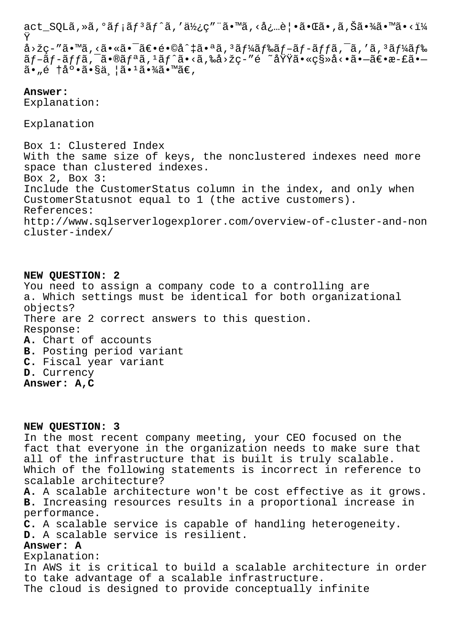act\_SQLã,»ã,°ãƒ¡ãƒªãƒ^ã,′使ç″¨ã•™ã,<必覕㕌ã•,ã,Šã•¾ã•™ã•<ï¼ Ÿ å>žç-″ã•™ã,<㕫㕯〕é•©å^‡ã•ªã,ªãƒ¼ãƒ‰ãƒ-ãƒ-ッã,¯ã,′ã,ªãƒ¼ãƒ‰  $\tilde{a}f$ – $\tilde{a}f$ – $\tilde{a}ff$ ã, $\tilde{a}$ •®ã $f$ ªã, $\tilde{a}f$  $\tilde{a}$ )  $\tilde{a}$ •<ã,‰å>žç– $\tilde{a}$ é $\tilde{a}$ °«ç§»å<•ã• $-\tilde{a}\in$ •æ–£ã• $-$ 

**Answer:** 

Explanation:

 $\tilde{a}$ • "é †åº• $\tilde{a}$ •§äˌ¦ã• $\tilde{a}$ •¾ $\tilde{a}$ •™ $\tilde{a}$ €,

Explanation

Box 1: Clustered Index With the same size of keys, the nonclustered indexes need more space than clustered indexes. Box 2, Box 3: Include the CustomerStatus column in the index, and only when CustomerStatusnot equal to 1 (the active customers). References: http://www.sqlserverlogexplorer.com/overview-of-cluster-and-non cluster-index/

**NEW QUESTION: 2** You need to assign a company code to a controlling are a. Which settings must be identical for both organizational objects? There are 2 correct answers to this question. Response: **A.** Chart of accounts **B.** Posting period variant **C.** Fiscal year variant **D.** Currency **Answer: A,C**

**NEW QUESTION: 3**

In the most recent company meeting, your CEO focused on the fact that everyone in the organization needs to make sure that all of the infrastructure that is built is truly scalable. Which of the following statements is incorrect in reference to scalable architecture?

**A.** A scalable architecture won't be cost effective as it grows. **B.** Increasing resources results in a proportional increase in performance.

**C.** A scalable service is capable of handling heterogeneity.

**D.** A scalable service is resilient.

## **Answer: A**

Explanation: In AWS it is critical to build a scalable architecture in order to take advantage of a scalable infrastructure. The cloud is designed to provide conceptually infinite